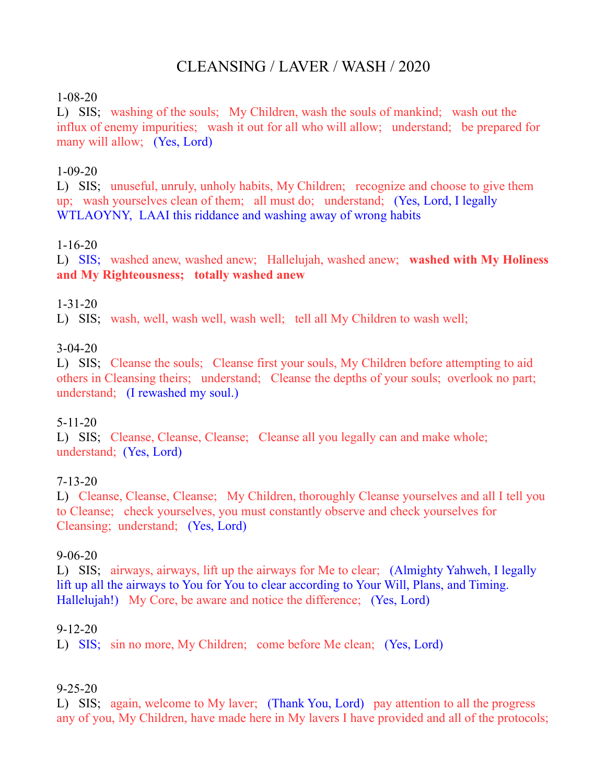# CLEANSING / LAVER / WASH / 2020

#### 1-08-20

L) SIS; washing of the souls; My Children, wash the souls of mankind; wash out the influx of enemy impurities; wash it out for all who will allow; understand; be prepared for many will allow; (Yes, Lord)

### 1-09-20

L) SIS; unuseful, unruly, unholy habits, My Children; recognize and choose to give them up; wash yourselves clean of them; all must do; understand; (Yes, Lord, I legally WTLAOYNY, LAAI this riddance and washing away of wrong habits

#### 1-16-20

L) SIS; washed anew, washed anew; Hallelujah, washed anew; **washed with My Holiness and My Righteousness; totally washed anew**

#### 1-31-20

L) SIS; wash, well, wash well, wash well; tell all My Children to wash well;

#### 3-04-20

L) SIS; Cleanse the souls; Cleanse first your souls, My Children before attempting to aid others in Cleansing theirs; understand; Cleanse the depths of your souls; overlook no part; understand; (I rewashed my soul.)

### 5-11-20

L) SIS; Cleanse, Cleanse, Cleanse; Cleanse all you legally can and make whole; understand; (Yes, Lord)

### 7-13-20

L) Cleanse, Cleanse, Cleanse; My Children, thoroughly Cleanse yourselves and all I tell you to Cleanse; check yourselves, you must constantly observe and check yourselves for Cleansing; understand; (Yes, Lord)

#### 9-06-20

L) SIS; airways, airways, lift up the airways for Me to clear; (Almighty Yahweh, I legally lift up all the airways to You for You to clear according to Your Will, Plans, and Timing. Hallelujah!) My Core, be aware and notice the difference; (Yes, Lord)

#### 9-12-20

L) SIS; sin no more, My Children; come before Me clean; (Yes, Lord)

### 9-25-20

L) SIS; again, welcome to My laver; (Thank You, Lord) pay attention to all the progress any of you, My Children, have made here in My lavers I have provided and all of the protocols;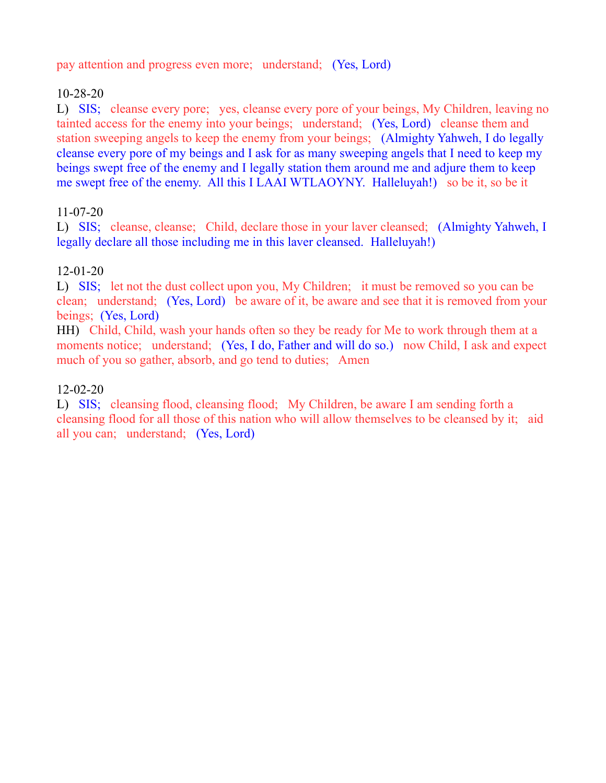pay attention and progress even more; understand; (Yes, Lord)

# 10-28-20

L) SIS; cleanse every pore; yes, cleanse every pore of your beings, My Children, leaving no tainted access for the enemy into your beings; understand; (Yes, Lord) cleanse them and station sweeping angels to keep the enemy from your beings; (Almighty Yahweh, I do legally cleanse every pore of my beings and I ask for as many sweeping angels that I need to keep my beings swept free of the enemy and I legally station them around me and adjure them to keep me swept free of the enemy. All this I LAAI WTLAOYNY. Halleluyah!) so be it, so be it

# 11-07-20

L) SIS; cleanse, cleanse; Child, declare those in your laver cleansed; (Almighty Yahweh, I legally declare all those including me in this laver cleansed. Halleluyah!)

# 12-01-20

L) SIS; let not the dust collect upon you, My Children; it must be removed so you can be clean; understand; (Yes, Lord) be aware of it, be aware and see that it is removed from your beings; (Yes, Lord)

HH) Child, Child, wash your hands often so they be ready for Me to work through them at a moments notice; understand; (Yes, I do, Father and will do so.) now Child, I ask and expect much of you so gather, absorb, and go tend to duties; Amen

# 12-02-20

L) SIS; cleansing flood, cleansing flood; My Children, be aware I am sending forth a cleansing flood for all those of this nation who will allow themselves to be cleansed by it; aid all you can; understand; (Yes, Lord)